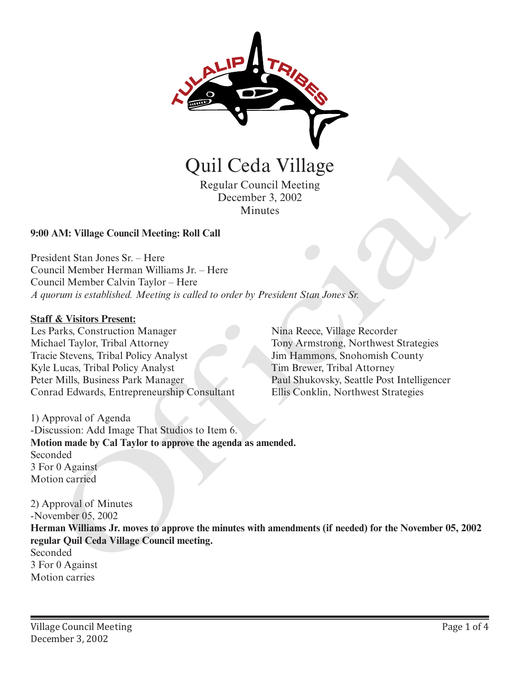

# Regular Council Meeting December 3, 2002 **Minutes**

# **9:00 AM: Village Council Meeting: Roll Call**

President Stan Jones Sr. – Here Council Member Herman Williams Jr. – Here Council Member Calvin Taylor – Here *A quorum is established. Meeting is called to order by President Stan Jones Sr.*

#### **Staff & Visitors Present:**

Les Parks, Construction Manager Michael Taylor, Tribal Attorney Tracie Stevens, Tribal Policy Analyst Kyle Lucas, Tribal Policy Analyst Peter Mills, Business Park Manager Conrad Edwards, Entrepreneurship Consultant

Nina Reece, Village Recorder Tony Armstrong, Northwest Strategies Jim Hammons, Snohomish County Tim Brewer, Tribal Attorney Paul Shukovsky, Seattle Post Intelligencer Ellis Conklin, Northwest Strategies

1) Approval of Agenda -Discussion: Add Image That Studios to Item 6. **Motion made by Cal Taylor to approve the agenda as amended.** Seconded 3 For 0 Against Motion carried

2) Approval of Minutes -November 05, 2002 **Herman Williams Jr. moves to approve the minutes with amendments (if needed) for the November 05, 2002 regular Quil Ceda Village Council meeting.** Seconded 3 For 0 Against **Carries Counter Counter Control Control Control Control Control Control Control Control Control Control Control Control Control Control Control Control Control Control Control Control Control Control Control Control Contr**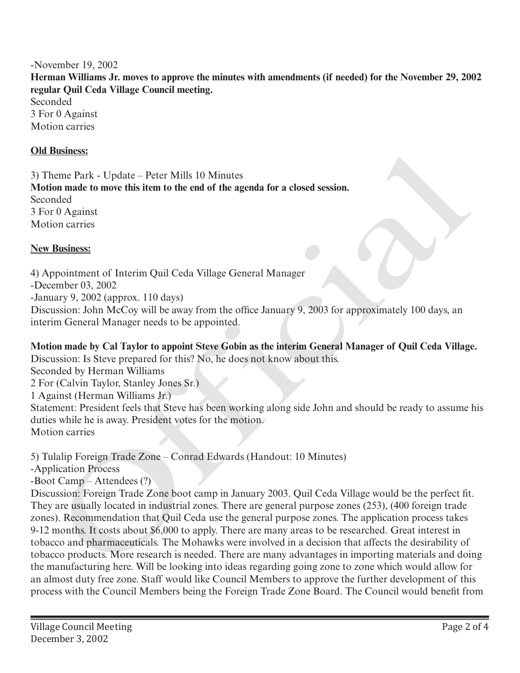### -November 19, 2002

**Herman Williams Jr. moves to approve the minutes with amendments (if needed) for the November 29, 2002 regular Quil Ceda Village Council meeting.**

Seconded 3 For 0 Against Motion carries

### **Old Business:**

3) Theme Park - Update – Peter Mills 10 Minutes **Motion made to move this item to the end of the agenda for a closed session.** Seconded 3 For 0 Against Motion carries

#### **New Business:**

4) Appointment of Interim Quil Ceda Village General Manager -December 03, 2002 -January 9, 2002 (approx. 110 days) Discussion: John McCoy will be away from the office January 9, 2003 for approximately 100 days, an interim General Manager needs to be appointed.

# **Motion made by Cal Taylor to appoint Steve Gobin as the interim General Manager of Quil Ceda Village.**

Discussion: Is Steve prepared for this? No, he does not know about this.

Seconded by Herman Williams

2 For (Calvin Taylor, Stanley Jones Sr.)

1 Against (Herman Williams Jr.)

Statement: President feels that Steve has been working along side John and should be ready to assume his duties while he is away. President votes for the motion. Motion carries

5) Tulalip Foreign Trade Zone – Conrad Edwards (Handout: 10 Minutes)

-Application Process

-Boot Camp – Attendees (?)

Discussion: Foreign Trade Zone boot camp in January 2003. Quil Ceda Village would be the perfect fit. They are usually located in industrial zones. There are general purpose zones (253), (400 foreign trade zones). Recommendation that Quil Ceda use the general purpose zones. The application process takes 9-12 months. It costs about \$6,000 to apply. There are many areas to be researched. Great interest in tobacco and pharmaceuticals. The Mohawks were involved in a decision that affects the desirability of tobacco products. More research is needed. There are many advantages in importing materials and doing the manufacturing here. Will be looking into ideas regarding going zone to zone which would allow for an almost duty free zone. Staff would like Council Members to approve the further development of this process with the Council Members being the Foreign Trade Zone Board. The Council would benefit from **Ethiopies:**<br>
and comparison and the move this iten to the end of the agenda for a closed session.<br>
and compared to move this item to the end of the agenda for a closed session.<br>
Dependence of  $\theta$  Against<br>
Dependence of I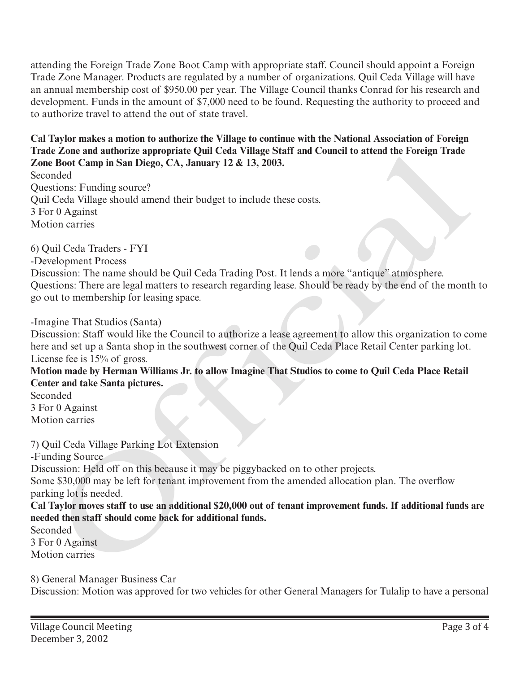attending the Foreign Trade Zone Boot Camp with appropriate staff. Council should appoint a Foreign Trade Zone Manager. Products are regulated by a number of organizations. Quil Ceda Village will have an annual membership cost of \$950.00 per year. The Village Council thanks Conrad for his research and development. Funds in the amount of \$7,000 need to be found. Requesting the authority to proceed and to authorize travel to attend the out of state travel.

**Cal Taylor makes a motion to authorize the Village to continue with the National Association of Foreign Trade Zone and authorize appropriate Quil Ceda Village Staff and Council to attend the Foreign Trade Zone Boot Camp in San Diego, CA, January 12 & 13, 2003.**

Seconded Questions: Funding source? Quil Ceda Village should amend their budget to include these costs. 3 For 0 Against Motion carries e Some and anterore appropriate Quit Ceta vinage Star and connect to attend the oreer and Book Camp in San Diego, CA, January 12 & 13, 2003.<br>
Boot Camp in San Diego, CA, January 12 & 13, 2003.<br>
Ceda Village should amend th

6) Quil Ceda Traders - FYI

-Development Process

Discussion: The name should be Quil Ceda Trading Post. It lends a more "antique" atmosphere. Questions: There are legal matters to research regarding lease. Should be ready by the end of the month to go out to membership for leasing space.

-Imagine That Studios (Santa)

Discussion: Staff would like the Council to authorize a lease agreement to allow this organization to come here and set up a Santa shop in the southwest corner of the Quil Ceda Place Retail Center parking lot. License fee is 15% of gross.

**Motion made by Herman Williams Jr. to allow Imagine That Studios to come to Quil Ceda Place Retail Center and take Santa pictures.**

Seconded 3 For 0 Against Motion carries

7) Quil Ceda Village Parking Lot Extension

-Funding Source

Discussion: Held off on this because it may be piggybacked on to other projects.

Some \$30,000 may be left for tenant improvement from the amended allocation plan. The overflow parking lot is needed.

**Cal Taylor moves staff to use an additional \$20,000 out of tenant improvement funds. If additional funds are needed then staff should come back for additional funds.**

Seconded 3 For 0 Against Motion carries

8) General Manager Business Car Discussion: Motion was approved for two vehicles for other General Managers for Tulalip to have a personal